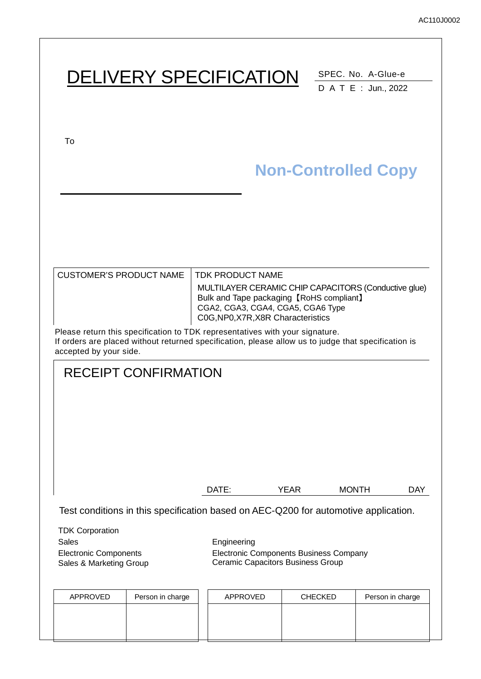# DELIVERY SPECIFICATION SPEC. No. A-Glue-e

DATE : Jun., 2022

To

# **Non-Controlled Copy**

| CUSTOMER'S PRODUCT NAME_ | <b>TDK PRODUCT NAME</b><br>MULTILAYER CERAMIC CHIP CAPACITORS (Conductive glue)<br>Bulk and Tape packaging [RoHS compliant] |
|--------------------------|-----------------------------------------------------------------------------------------------------------------------------|
|                          | CGA2, CGA3, CGA4, CGA5, CGA6 Type<br>C0G, NP0, X7R, X8R Characteristics                                                     |

Please return this specification to TDK representatives with your signature. If orders are placed without returned specification, please allow us to judge that specification is accepted by your side.

# RECEIPT CONFIRMATION DATE: YEAR MONTH DAY Test conditions in this specification based on AEC-Q200 for automotive application.

TDK Corporation Sales **Engineering** Electronic Components Sales & Marketing Group Electronic Components Business Company Ceramic Capacitors Business Group

| APPROVED | Person in charge | APPROVED | <b>CHECKED</b> | Person in charge |
|----------|------------------|----------|----------------|------------------|
|          |                  |          |                |                  |
|          |                  |          |                |                  |
|          |                  |          |                |                  |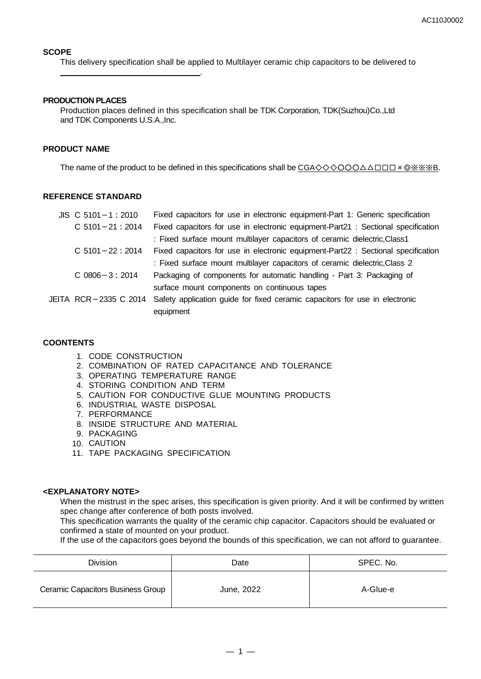#### **SCOPE**

This delivery specification shall be applied to Multilayer ceramic chip capacitors to be delivered to

#### **PRODUCTION PLACES**

.

Production places defined in this specification shall be TDK Corporation, TDK(Suzhou)Co.,Ltd and TDK Components U.S.A. Inc.

#### **PRODUCT NAME**

The name of the product to be defined in this specifications shall be CGA◇◇◇○○○△△□□□×◎※※※B.

#### **REFERENCE STANDARD**

| $JIS$ C 5101 - 1 : 2010 | Fixed capacitors for use in electronic equipment-Part 1: Generic specification    |
|-------------------------|-----------------------------------------------------------------------------------|
| $C$ 5101 - 21 : 2014    | Fixed capacitors for use in electronic equipment-Part21 : Sectional specification |
|                         | : Fixed surface mount multilayer capacitors of ceramic dielectric, Class1         |
| $C$ 5101 - 22 : 2014    | Fixed capacitors for use in electronic equipment-Part22 : Sectional specification |
|                         | : Fixed surface mount multilayer capacitors of ceramic dielectric, Class 2        |
| $C$ 0806 $-3:2014$      | Packaging of components for automatic handling - Part 3: Packaging of             |
|                         | surface mount components on continuous tapes                                      |
| JEITA RCR-2335 C 2014   | Safety application guide for fixed ceramic capacitors for use in electronic       |
|                         | equipment                                                                         |

#### **COONTENTS**

- 1. CODE CONSTRUCTION
- 2. COMBINATION OF RATED CAPACITANCE AND TOLERANCE
- 3. OPERATING TEMPERATURE RANGE
- 4. STORING CONDITION AND TERM
- 5. CAUTION FOR CONDUCTIVE GLUE MOUNTING PRODUCTS
- 6. INDUSTRIAL WASTE DISPOSAL
- 7. PERFORMANCE
- 8. INSIDE STRUCTURE AND MATERIAL
- 9. PACKAGING
- 10. CAUTION
- 11. TAPE PACKAGING SPECIFICATION

#### **<EXPLANATORY NOTE>**

When the mistrust in the spec arises, this specification is given priority. And it will be confirmed by written spec change after conference of both posts involved.

This specification warrants the quality of the ceramic chip capacitor. Capacitors should be evaluated or confirmed a state of mounted on your product.

If the use of the capacitors goes beyond the bounds of this specification, we can not afford to guarantee.

| Division                          | Date       | SPEC. No. |
|-----------------------------------|------------|-----------|
| Ceramic Capacitors Business Group | June, 2022 | A-Glue-e  |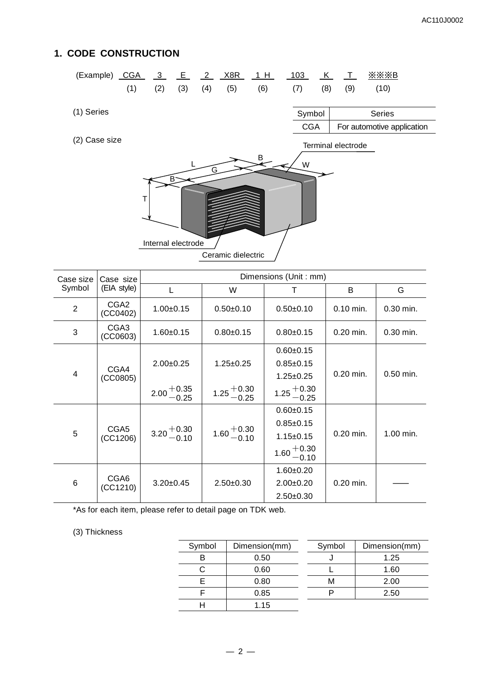# **1. CODE CONSTRUCTION**

| (Example) CGA |     | $\frac{3}{2}$ E |                         | $\frac{2}{2}$ | X8R                | 1H      | 103        | <u>_K_</u> | $\perp$            | $X$ $X$ $X$ $B$            |  |
|---------------|-----|-----------------|-------------------------|---------------|--------------------|---------|------------|------------|--------------------|----------------------------|--|
|               | (1) | (2)             | (3)                     | (4)           | (5)                | (6)     | (7)        | (8)        | (9)                | (10)                       |  |
|               |     |                 |                         |               |                    |         |            |            |                    |                            |  |
| (1) Series    |     |                 |                         |               |                    |         | Symbol     |            |                    | <b>Series</b>              |  |
|               |     |                 |                         |               |                    |         | <b>CGA</b> |            |                    | For automotive application |  |
| (2) Case size |     |                 |                         |               |                    |         |            |            | Terminal electrode |                            |  |
|               |     |                 |                         |               |                    | $B_{2}$ | W          |            |                    |                            |  |
|               | Т   |                 | B<br>Internal electrode | G             |                    |         |            |            |                    |                            |  |
|               |     |                 |                         |               | Ceramic dielectric |         |            |            |                    |                            |  |

| Case size      | Case size                    | Dimensions (Unit: mm)  |                        |                        |             |             |                 |  |  |
|----------------|------------------------------|------------------------|------------------------|------------------------|-------------|-------------|-----------------|--|--|
| Symbol         | (EIA style)                  | L                      | W                      | т                      | B           | G           |                 |  |  |
| $\overline{2}$ | CGA <sub>2</sub><br>(CCO402) | $1.00+0.15$            | $0.50+0.10$            | $0.50+0.10$            | $0.10$ min. | $0.30$ min. |                 |  |  |
| 3              | CGA <sub>3</sub><br>(CCO603) | $1.60 + 0.15$          | $0.80 + 0.15$          | $0.80 + 0.15$          | $0.20$ min. | $0.30$ min. |                 |  |  |
|                |                              |                        |                        | $0.60 + 0.15$          |             | $0.50$ min. |                 |  |  |
|                | CGA4<br>(CCO805)             | $2.00+0.25$            | $1.25 \pm 0.25$        | $0.85 \pm 0.15$        | $0.20$ min. |             |                 |  |  |
| $\overline{4}$ |                              |                        |                        | $1.25 \pm 0.25$        |             |             |                 |  |  |
|                |                              | $2.00 + 0.35$<br>-0.25 | $1.25 + 0.30 - 0.25$   | $1.25 + 0.30$<br>-0.25 |             |             |                 |  |  |
|                | CGA <sub>5</sub><br>(CC1206) |                        |                        |                        |             |             | $0.60 \pm 0.15$ |  |  |
|                |                              |                        | $1.60 + 0.30$<br>-0.10 | $0.85 \pm 0.15$        | $0.20$ min. | 1.00 min.   |                 |  |  |
| 5              |                              | $3.20 + 0.30$<br>-0.10 |                        | $1.15 \pm 0.15$        |             |             |                 |  |  |
|                |                              |                        |                        | $1.60 + 0.30$<br>-0.10 |             |             |                 |  |  |
|                |                              |                        |                        | $1.60 + 0.20$          |             |             |                 |  |  |
| 6              | CGA <sub>6</sub><br>(CC1210) | $3.20 \pm 0.45$        | $2.50+0.30$            | $2.00+0.20$            | $0.20$ min. |             |                 |  |  |
|                |                              |                        |                        | $2.50+0.30$            |             |             |                 |  |  |

\*As for each item, please refer to detail page on TDK web.

#### (3) Thickness

| Symbol | Dimension(mm) | Symbol | Dimension(mm) |
|--------|---------------|--------|---------------|
|        | 0.50          |        | 1.25          |
|        | 0.60          |        | 1.60          |
|        | 0.80          |        | 2.00          |
|        | 0.85          |        | 2.50          |
|        | 1.15          |        |               |
|        |               |        |               |

| Symbol | Dimension(mm) |
|--------|---------------|
|        | 1.25          |
|        | 1.60          |
| м      | 2.00          |
| ٦      | 2.50          |
|        |               |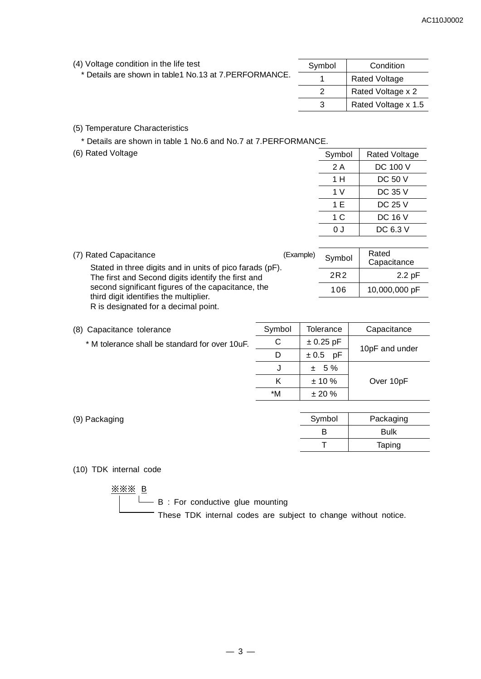| (4) Voltage condition in the life test                   | Symbol |  |
|----------------------------------------------------------|--------|--|
| * Details are shown in table 1 No. 13 at 7. PERFORMANCE. |        |  |

| Symbol | Condition            |
|--------|----------------------|
|        | <b>Rated Voltage</b> |
| 2      | Rated Voltage x 2    |
|        | Rated Voltage x 1.5  |

(5) Temperature Characteristics

\* Details are shown in table 1 No.6 and No.7 at 7.PERFORMANCE.

(6) Rated Voltage

| Symbol | <b>Rated Voltage</b> |
|--------|----------------------|
| 2 A    | DC 100 V             |
| 1 H    | <b>DC 50 V</b>       |
| 1 V    | DC 35 V              |
| 1 E    | <b>DC 25 V</b>       |
| 1 C    | <b>DC 16 V</b>       |
| n .i   | DC 6.3 V             |

| (7) Rated Capacitance<br>Stated in three digits and in units of pico farads (pF).            | (Example) | Symbol | Rated<br>Capacitance |
|----------------------------------------------------------------------------------------------|-----------|--------|----------------------|
| The first and Second digits identify the first and                                           |           | 2R2    | 2.2pF                |
| second significant figures of the capacitance, the<br>third digit identifies the multiplier. |           | 106    | 10,000,000 pF        |
| R is designated for a decimal point.                                                         |           |        |                      |

- (8) Capacitance tolerance
	- \* M tolerance shall be standard for over 10uF.

| Symbol | Tolerance   | Capacitance    |
|--------|-------------|----------------|
| C      | $± 0.25$ pF |                |
|        | ± 0.5<br>рF | 10pF and under |
|        | $± 5\%$     |                |
| ĸ      | $± 10 \%$   | Over 10pF      |
| *M     | $± 20 \%$   |                |
|        |             |                |

| (9) Packaging | Symbol | Packaging   |
|---------------|--------|-------------|
|               | B      | <b>Bulk</b> |
|               |        | Taping      |

#### (10) TDK internal code

※※※ B

 $\Box$  $\Box$  B : For conductive glue mounting

These TDK internal codes are subject to change without notice.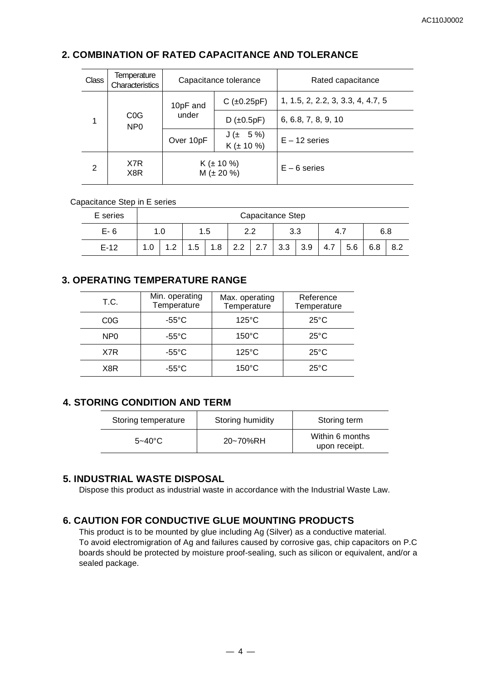## **2. COMBINATION OF RATED CAPACITANCE AND TOLERANCE**

| <b>Class</b> | Temperature<br>Characteristics      |           | Capacitance tolerance              | Rated capacitance                 |  |
|--------------|-------------------------------------|-----------|------------------------------------|-----------------------------------|--|
|              |                                     | 10pF and  | $C$ ( $\pm$ 0.25pF)                | 1, 1.5, 2, 2.2, 3, 3.3, 4, 4.7, 5 |  |
| 1            | C <sub>0</sub> G<br>NP <sub>0</sub> | under     | $D$ ( $\pm 0.5pF$ )                | 6, 6.8, 7, 8, 9, 10               |  |
|              |                                     | Over 10pF | $J(± 5\%)$<br>$K (\pm 10 \%)$      | $E - 12$ series                   |  |
| 2            | X7R<br>X8R                          |           | $K (\pm 10 \%)$<br>$M (\pm 20 \%)$ | $E - 6$ series                    |  |

#### Capacitance Step in E series

| E series |                                          | Capacitance Step |     |     |     |     |     |     |     |     |     |     |
|----------|------------------------------------------|------------------|-----|-----|-----|-----|-----|-----|-----|-----|-----|-----|
| $E-6$    | 3.3<br>າ າ<br>1.0<br>1.5<br>6.8<br>-4. . |                  |     |     |     |     |     |     |     |     |     |     |
| $E-12$   |                                          |                  | 1.5 | 8.، | 2.2 | 2.7 | 3.3 | 3.9 | 4.7 | 5.6 | 6.8 | 8.2 |

# **3. OPERATING TEMPERATURE RANGE**

| T.C.             | Min. operating<br>Temperature | Max. operating<br>Temperature | Reference<br>Temperature |
|------------------|-------------------------------|-------------------------------|--------------------------|
| C <sub>0</sub> G | $-55^{\circ}$ C               | $125^{\circ}$ C               | $25^{\circ}$ C           |
| NP <sub>0</sub>  | $-55^{\circ}$ C               | $150^{\circ}$ C               | $25^{\circ}$ C           |
| X7R              | $-55^{\circ}$ C               | $125^{\circ}$ C               | $25^{\circ}$ C           |
| X8R              | $-55^{\circ}$ C               | $150^{\circ}$ C               | $25^{\circ}$ C           |

# **4. STORING CONDITION AND TERM**

| Storing temperature | Storing humidity | Storing term                     |
|---------------------|------------------|----------------------------------|
| $5 - 40^{\circ}$ C  | 20~70%RH         | Within 6 months<br>upon receipt. |

### **5. INDUSTRIAL WASTE DISPOSAL**

Dispose this product as industrial waste in accordance with the Industrial Waste Law.

## **6. CAUTION FOR CONDUCTIVE GLUE MOUNTING PRODUCTS**

This product is to be mounted by glue including Ag (Silver) as a conductive material. To avoid electromigration of Ag and failures caused by corrosive gas, chip capacitors on P.C boards should be protected by moisture proof-sealing, such as silicon or equivalent, and/or a sealed package.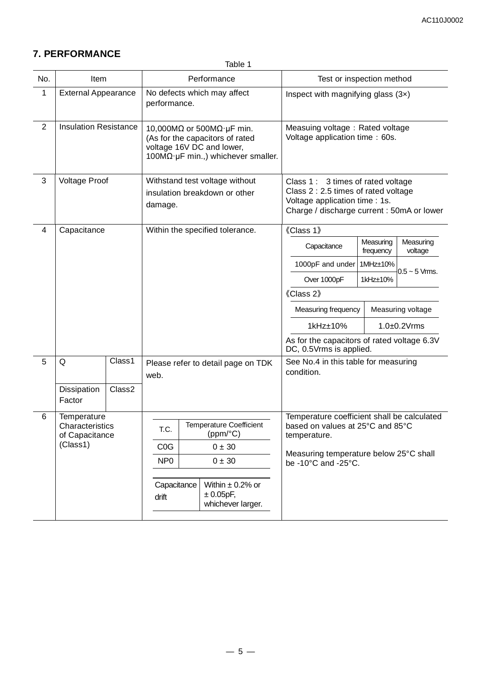# **7. PERFORMANCE**

Table 1

| No.            | Item                                          |                      |                                |                                                             | Performance                                                                                                                                              |                                                                        | Test or inspection method                                                                                                                                |                        |                      |  |  |
|----------------|-----------------------------------------------|----------------------|--------------------------------|-------------------------------------------------------------|----------------------------------------------------------------------------------------------------------------------------------------------------------|------------------------------------------------------------------------|----------------------------------------------------------------------------------------------------------------------------------------------------------|------------------------|----------------------|--|--|
| 1              | <b>External Appearance</b>                    |                      | performance.                   |                                                             | No defects which may affect                                                                                                                              | Inspect with magnifying glass $(3x)$                                   |                                                                                                                                                          |                        |                      |  |  |
| $\overline{2}$ | <b>Insulation Resistance</b>                  |                      |                                |                                                             | 10,000M $\Omega$ or 500M $\Omega$ · µF min.<br>(As for the capacitors of rated<br>voltage 16V DC and lower,<br>$100M\Omega$ µF min.,) whichever smaller. | Measuing voltage: Rated voltage<br>Voltage application time: 60s.      |                                                                                                                                                          |                        |                      |  |  |
| $\mathbf{3}$   | <b>Voltage Proof</b>                          |                      |                                |                                                             | Withstand test voltage without<br>insulation breakdown or other                                                                                          |                                                                        | Class 1: 3 times of rated voltage<br>Class 2: 2.5 times of rated voltage<br>Voltage application time : 1s.<br>Charge / discharge current : 50mA or lower |                        |                      |  |  |
| 4              | Capacitance                                   |                      |                                |                                                             | Within the specified tolerance.                                                                                                                          | 《Class 1》                                                              |                                                                                                                                                          |                        |                      |  |  |
|                |                                               |                      |                                |                                                             |                                                                                                                                                          | Capacitance                                                            |                                                                                                                                                          | Measuring<br>frequency | Measuring<br>voltage |  |  |
|                |                                               |                      |                                |                                                             |                                                                                                                                                          | 1000pF and under<br>1MHz±10%                                           |                                                                                                                                                          |                        | $0.5 \sim 5$ Vrms.   |  |  |
|                |                                               |                      |                                |                                                             |                                                                                                                                                          | Over 1000pF                                                            |                                                                                                                                                          | 1kHz±10%               |                      |  |  |
|                |                                               |                      |                                |                                                             |                                                                                                                                                          | 《Class 2》                                                              |                                                                                                                                                          |                        |                      |  |  |
|                |                                               |                      |                                |                                                             |                                                                                                                                                          | Measuring frequency                                                    |                                                                                                                                                          |                        | Measuring voltage    |  |  |
|                |                                               |                      |                                |                                                             |                                                                                                                                                          | 1kHz±10%                                                               |                                                                                                                                                          |                        | $1.0\pm0.2$ Vrms     |  |  |
|                |                                               |                      |                                |                                                             |                                                                                                                                                          | As for the capacitors of rated voltage 6.3V<br>DC, 0.5Vrms is applied. |                                                                                                                                                          |                        |                      |  |  |
| 5              | Q                                             | Class1               | web.                           |                                                             | Please refer to detail page on TDK                                                                                                                       | See No.4 in this table for measuring<br>condition.                     |                                                                                                                                                          |                        |                      |  |  |
|                | Dissipation<br>Factor                         | Class2               |                                |                                                             |                                                                                                                                                          |                                                                        |                                                                                                                                                          |                        |                      |  |  |
| 6              | Temperature                                   |                      |                                |                                                             |                                                                                                                                                          | Temperature coefficient shall be calculated                            |                                                                                                                                                          |                        |                      |  |  |
|                | Characteristics<br>of Capacitance<br>(Class1) |                      | T.C.                           |                                                             | <b>Temperature Coefficient</b><br>(ppm/°C)                                                                                                               | based on values at 25°C and 85°C<br>temperature.                       |                                                                                                                                                          |                        |                      |  |  |
|                |                                               |                      | $0 \pm 30$<br>C <sub>0</sub> G |                                                             |                                                                                                                                                          |                                                                        | Measuring temperature below 25°C shall                                                                                                                   |                        |                      |  |  |
|                |                                               |                      | NP <sub>0</sub>                |                                                             | $0\pm30$                                                                                                                                                 | be -10°C and -25°C.                                                    |                                                                                                                                                          |                        |                      |  |  |
|                |                                               | Capacitance<br>drift |                                | Within $\pm$ 0.2% or<br>$\pm 0.05$ pF,<br>whichever larger. |                                                                                                                                                          |                                                                        |                                                                                                                                                          |                        |                      |  |  |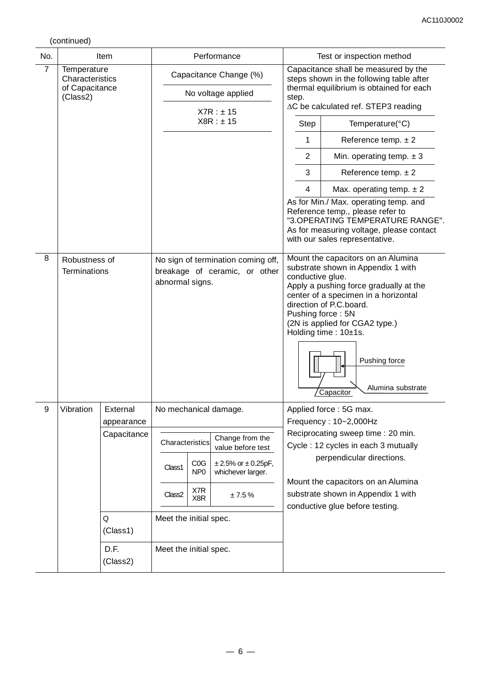(continued)

|                |                                |                                                                    |                                                                                        |                                              |                                      | Test or inspection method |                                                                                                                                                                                                                                                                                                       |                                                                                                                                                                                                                                   |  |  |
|----------------|--------------------------------|--------------------------------------------------------------------|----------------------------------------------------------------------------------------|----------------------------------------------|--------------------------------------|---------------------------|-------------------------------------------------------------------------------------------------------------------------------------------------------------------------------------------------------------------------------------------------------------------------------------------------------|-----------------------------------------------------------------------------------------------------------------------------------------------------------------------------------------------------------------------------------|--|--|
| No.            |                                | Item                                                               |                                                                                        |                                              | Performance                          |                           | Capacitance shall be measured by the                                                                                                                                                                                                                                                                  |                                                                                                                                                                                                                                   |  |  |
| $\overline{7}$ | Temperature<br>Characteristics |                                                                    |                                                                                        |                                              | Capacitance Change (%)               |                           |                                                                                                                                                                                                                                                                                                       | steps shown in the following table after                                                                                                                                                                                          |  |  |
|                | of Capacitance<br>(Class2)     |                                                                    |                                                                                        |                                              | No voltage applied                   |                           | thermal equilibrium is obtained for each<br>step.                                                                                                                                                                                                                                                     |                                                                                                                                                                                                                                   |  |  |
|                |                                |                                                                    |                                                                                        |                                              | X7R : ±15                            |                           | $\Delta C$ be calculated ref. STEP3 reading                                                                                                                                                                                                                                                           |                                                                                                                                                                                                                                   |  |  |
|                |                                |                                                                    |                                                                                        |                                              | X8R : ± 15                           |                           | Step                                                                                                                                                                                                                                                                                                  | Temperature(°C)                                                                                                                                                                                                                   |  |  |
|                |                                |                                                                    |                                                                                        |                                              |                                      |                           | 1                                                                                                                                                                                                                                                                                                     | Reference temp. $\pm 2$                                                                                                                                                                                                           |  |  |
|                |                                |                                                                    |                                                                                        |                                              |                                      |                           | $\overline{2}$                                                                                                                                                                                                                                                                                        | Min. operating temp. $\pm 3$                                                                                                                                                                                                      |  |  |
|                |                                |                                                                    |                                                                                        |                                              |                                      |                           | 3                                                                                                                                                                                                                                                                                                     | Reference temp. $\pm 2$                                                                                                                                                                                                           |  |  |
|                |                                |                                                                    |                                                                                        |                                              |                                      |                           | 4                                                                                                                                                                                                                                                                                                     | Max. operating temp. $\pm 2$                                                                                                                                                                                                      |  |  |
|                |                                |                                                                    |                                                                                        |                                              |                                      |                           |                                                                                                                                                                                                                                                                                                       | As for Min./ Max. operating temp. and<br>Reference temp., please refer to<br>"3.OPERATING TEMPERATURE RANGE".<br>As for measuring voltage, please contact<br>with our sales representative.<br>Mount the capacitors on an Alumina |  |  |
| 8              | Robustness of<br>Terminations  |                                                                    | No sign of termination coming off,<br>breakage of ceramic, or other<br>abnormal signs. |                                              |                                      |                           | substrate shown in Appendix 1 with<br>conductive glue.<br>Apply a pushing force gradually at the<br>center of a specimen in a horizontal<br>direction of P.C.board.<br>Pushing force: 5N<br>(2N is applied for CGA2 type.)<br>Holding time: 10±1s.<br>Pushing force<br>Alumina substrate<br>Capacitor |                                                                                                                                                                                                                                   |  |  |
| 9              | Vibration                      | External                                                           |                                                                                        |                                              | No mechanical damage.                |                           |                                                                                                                                                                                                                                                                                                       | Applied force: 5G max.                                                                                                                                                                                                            |  |  |
|                |                                | appearance                                                         |                                                                                        |                                              |                                      |                           |                                                                                                                                                                                                                                                                                                       | Frequency: 10~2,000Hz                                                                                                                                                                                                             |  |  |
|                |                                | Capacitance<br>Characteristics<br>COG<br>Class1<br>NP <sub>0</sub> |                                                                                        |                                              | Change from the<br>value before test |                           |                                                                                                                                                                                                                                                                                                       | Reciprocating sweep time: 20 min.<br>Cycle: 12 cycles in each 3 mutually                                                                                                                                                          |  |  |
|                |                                |                                                                    |                                                                                        | $± 2.5%$ or $± 0.25pF,$<br>whichever larger. |                                      |                           | perpendicular directions.                                                                                                                                                                                                                                                                             |                                                                                                                                                                                                                                   |  |  |
|                |                                |                                                                    | X7R<br>Class <sub>2</sub><br>±7.5%<br>X8R<br>Meet the initial spec.                    |                                              |                                      |                           | Mount the capacitors on an Alumina<br>substrate shown in Appendix 1 with<br>conductive glue before testing.                                                                                                                                                                                           |                                                                                                                                                                                                                                   |  |  |
|                |                                | Q<br>(Class1)                                                      |                                                                                        |                                              |                                      |                           |                                                                                                                                                                                                                                                                                                       |                                                                                                                                                                                                                                   |  |  |
|                |                                | D.F.<br>(Class2)                                                   |                                                                                        | Meet the initial spec.                       |                                      |                           |                                                                                                                                                                                                                                                                                                       |                                                                                                                                                                                                                                   |  |  |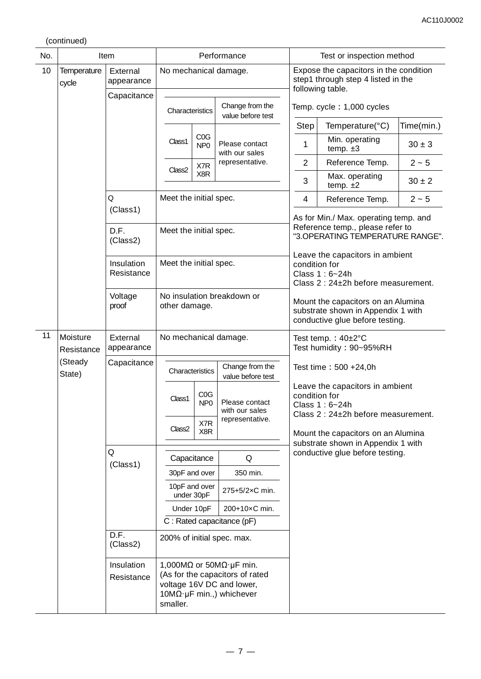(continued)

| No. |                             | Item                                                            | Performance            |                        |                                                                                                             |                                                                                                                                                     |  | Test or inspection method                                |                                                                                                  |            |  |  |        |                        |                                  |  |                                                                                                           |  |  |  |
|-----|-----------------------------|-----------------------------------------------------------------|------------------------|------------------------|-------------------------------------------------------------------------------------------------------------|-----------------------------------------------------------------------------------------------------------------------------------------------------|--|----------------------------------------------------------|--------------------------------------------------------------------------------------------------|------------|--|--|--------|------------------------|----------------------------------|--|-----------------------------------------------------------------------------------------------------------|--|--|--|
| 10  | <b>Temperature</b><br>cycle | External<br>appearance                                          |                        |                        |                                                                                                             | No mechanical damage.                                                                                                                               |  |                                                          | Expose the capacitors in the condition<br>step1 through step 4 listed in the<br>following table. |            |  |  |        |                        |                                  |  |                                                                                                           |  |  |  |
|     |                             | Capacitance                                                     |                        | Characteristics        |                                                                                                             | Change from the<br>value before test                                                                                                                |  | Temp. cycle: 1,000 cycles                                |                                                                                                  |            |  |  |        |                        |                                  |  |                                                                                                           |  |  |  |
|     |                             |                                                                 |                        |                        |                                                                                                             |                                                                                                                                                     |  | <b>Step</b>                                              | Temperature(°C)                                                                                  | Time(min.) |  |  |        |                        |                                  |  |                                                                                                           |  |  |  |
|     |                             |                                                                 |                        | Class1                 | COG<br>NP <sub>0</sub>                                                                                      | Please contact<br>with our sales                                                                                                                    |  | 1                                                        | Min. operating<br>temp. $\pm 3$                                                                  | $30 \pm 3$ |  |  |        |                        |                                  |  |                                                                                                           |  |  |  |
|     |                             |                                                                 |                        | Class <sub>2</sub>     | X7R                                                                                                         | representative.                                                                                                                                     |  | $\overline{2}$                                           | Reference Temp.                                                                                  | $2 - 5$    |  |  |        |                        |                                  |  |                                                                                                           |  |  |  |
|     |                             |                                                                 |                        |                        | X8R                                                                                                         |                                                                                                                                                     |  | 3                                                        | Max. operating<br>temp. $±2$                                                                     | $30 \pm 2$ |  |  |        |                        |                                  |  |                                                                                                           |  |  |  |
|     |                             | Q                                                               |                        | Meet the initial spec. |                                                                                                             |                                                                                                                                                     |  | 4                                                        | Reference Temp.                                                                                  | $2 - 5$    |  |  |        |                        |                                  |  |                                                                                                           |  |  |  |
|     |                             | (Class1)                                                        |                        |                        |                                                                                                             |                                                                                                                                                     |  |                                                          | As for Min./ Max. operating temp. and                                                            |            |  |  |        |                        |                                  |  |                                                                                                           |  |  |  |
|     |                             | D.F.<br>(Class2)                                                |                        | Meet the initial spec. |                                                                                                             |                                                                                                                                                     |  |                                                          | Reference temp., please refer to<br>"3.OPERATING TEMPERATURE RANGE".                             |            |  |  |        |                        |                                  |  |                                                                                                           |  |  |  |
|     |                             | Insulation<br>Resistance                                        | Meet the initial spec. |                        |                                                                                                             |                                                                                                                                                     |  | condition for                                            | Leave the capacitors in ambient<br>Class 1: 6~24h<br>Class 2: 24±2h before measurement.          |            |  |  |        |                        |                                  |  |                                                                                                           |  |  |  |
|     |                             | No insulation breakdown or<br>Voltage<br>proof<br>other damage. |                        |                        | Mount the capacitors on an Alumina<br>substrate shown in Appendix 1 with<br>conductive glue before testing. |                                                                                                                                                     |  |                                                          |                                                                                                  |            |  |  |        |                        |                                  |  |                                                                                                           |  |  |  |
| 11  | Moisture<br>Resistance      | External<br>appearance                                          |                        |                        |                                                                                                             | No mechanical damage.                                                                                                                               |  | Test temp.: $40\pm2^{\circ}C$<br>Test humidity: 90~95%RH |                                                                                                  |            |  |  |        |                        |                                  |  |                                                                                                           |  |  |  |
|     | (Steady<br>State)           | Capacitance                                                     |                        | Characteristics        |                                                                                                             | Change from the<br>value before test                                                                                                                |  | Test time: 500 +24,0h                                    |                                                                                                  |            |  |  |        |                        |                                  |  |                                                                                                           |  |  |  |
|     |                             |                                                                 |                        |                        |                                                                                                             |                                                                                                                                                     |  |                                                          |                                                                                                  |            |  |  | Class1 | COG<br>NP <sub>0</sub> | Please contact<br>with our sales |  | Leave the capacitors in ambient<br>condition for<br>Class $1:6-24h$<br>Class 2: 24±2h before measurement. |  |  |  |
|     |                             |                                                                 |                        | Class <sub>2</sub>     | X7R<br>X8R                                                                                                  | representative.                                                                                                                                     |  |                                                          | Mount the capacitors on an Alumina                                                               |            |  |  |        |                        |                                  |  |                                                                                                           |  |  |  |
|     |                             | Q                                                               |                        |                        |                                                                                                             |                                                                                                                                                     |  |                                                          | substrate shown in Appendix 1 with<br>conductive glue before testing.                            |            |  |  |        |                        |                                  |  |                                                                                                           |  |  |  |
|     |                             | (Class1)                                                        |                        |                        | Capacitance                                                                                                 | Q                                                                                                                                                   |  |                                                          |                                                                                                  |            |  |  |        |                        |                                  |  |                                                                                                           |  |  |  |
|     |                             |                                                                 |                        |                        | 30pF and over<br>10pF and over                                                                              | 350 min.                                                                                                                                            |  |                                                          |                                                                                                  |            |  |  |        |                        |                                  |  |                                                                                                           |  |  |  |
|     |                             |                                                                 |                        |                        | under 30pF                                                                                                  | 275+5/2×C min.                                                                                                                                      |  |                                                          |                                                                                                  |            |  |  |        |                        |                                  |  |                                                                                                           |  |  |  |
|     |                             |                                                                 |                        |                        | Under 10pF                                                                                                  | 200+10×C min.                                                                                                                                       |  |                                                          |                                                                                                  |            |  |  |        |                        |                                  |  |                                                                                                           |  |  |  |
|     |                             |                                                                 |                        |                        |                                                                                                             | C: Rated capacitance (pF)                                                                                                                           |  |                                                          |                                                                                                  |            |  |  |        |                        |                                  |  |                                                                                                           |  |  |  |
|     |                             | (Class2)                                                        | D.F.                   |                        |                                                                                                             | 200% of initial spec. max.                                                                                                                          |  |                                                          |                                                                                                  |            |  |  |        |                        |                                  |  |                                                                                                           |  |  |  |
|     |                             | Insulation<br>Resistance                                        |                        | smaller.               |                                                                                                             | 1,000M $\Omega$ or 50M $\Omega$ µF min.<br>(As for the capacitors of rated<br>voltage 16V DC and lower,<br>$10M\Omega \cdot \mu F$ min.,) whichever |  |                                                          |                                                                                                  |            |  |  |        |                        |                                  |  |                                                                                                           |  |  |  |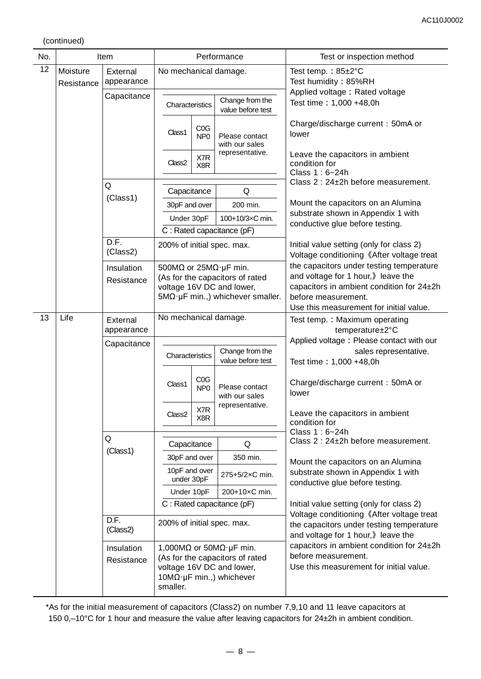(continued)

| No. |            | Item                     |                             |                         | Performance                                                                                                                                                 | Test or inspection method                                                                                                                                                                     |  |  |
|-----|------------|--------------------------|-----------------------------|-------------------------|-------------------------------------------------------------------------------------------------------------------------------------------------------------|-----------------------------------------------------------------------------------------------------------------------------------------------------------------------------------------------|--|--|
| 12  | Moisture   | External                 | No mechanical damage.       |                         |                                                                                                                                                             | Test temp.: $85 \pm 2^{\circ}$ C                                                                                                                                                              |  |  |
|     | Resistance | appearance               |                             |                         |                                                                                                                                                             | Test humidity: 85%RH                                                                                                                                                                          |  |  |
|     |            | Capacitance              | Characteristics             |                         | Change from the<br>value before test                                                                                                                        | Applied voltage: Rated voltage<br>Test time: 1,000 +48,0h                                                                                                                                     |  |  |
|     |            |                          | Class1                      | COG<br>NP <sub>0</sub>  | Please contact<br>with our sales                                                                                                                            | Charge/discharge current: 50mA or<br>lower                                                                                                                                                    |  |  |
|     |            |                          | Class <sub>2</sub>          | X7R<br>X <sub>8</sub> R | representative.                                                                                                                                             | Leave the capacitors in ambient<br>condition for<br>Class 1:6~24h                                                                                                                             |  |  |
|     |            | Q                        |                             |                         |                                                                                                                                                             | Class 2 : 24±2h before measurement.                                                                                                                                                           |  |  |
|     |            | (Class1)                 | Capacitance                 |                         | Q                                                                                                                                                           | Mount the capacitors on an Alumina                                                                                                                                                            |  |  |
|     |            |                          | 30pF and over               |                         | 200 min.                                                                                                                                                    | substrate shown in Appendix 1 with                                                                                                                                                            |  |  |
|     |            |                          | Under 30pF                  |                         | 100+10/3×C min.                                                                                                                                             | conductive glue before testing.                                                                                                                                                               |  |  |
|     |            | D.F.                     |                             |                         | C : Rated capacitance (pF)                                                                                                                                  |                                                                                                                                                                                               |  |  |
|     |            | (Class2)                 |                             |                         | 200% of initial spec. max.                                                                                                                                  | Initial value setting (only for class 2)<br>Voltage conditioning 《After voltage treat                                                                                                         |  |  |
|     |            | Insulation<br>Resistance |                             |                         | 500M $\Omega$ or 25M $\Omega$ · µF min.<br>(As for the capacitors of rated<br>voltage 16V DC and lower,<br>$5M\Omega \cdot \mu F$ min.,) whichever smaller. | the capacitors under testing temperature<br>and voltage for 1 hour, bleave the<br>capacitors in ambient condition for 24±2h<br>before measurement.<br>Use this measurement for initial value. |  |  |
| 13  | Life       | External<br>appearance   | No mechanical damage.       |                         |                                                                                                                                                             | Test temp.: Maximum operating<br>temperature±2°C                                                                                                                                              |  |  |
|     |            | Capacitance              |                             |                         |                                                                                                                                                             | Applied voltage: Please contact with our                                                                                                                                                      |  |  |
|     |            |                          | Characteristics             |                         | Change from the<br>value before test                                                                                                                        | sales representative.<br>Test time: 1,000 +48,0h                                                                                                                                              |  |  |
|     |            |                          | Class1                      | COG<br>NP <sub>0</sub>  | Please contact<br>with our sales                                                                                                                            | Charge/discharge current: 50mA or<br>lower                                                                                                                                                    |  |  |
|     |            |                          | Class <sub>2</sub>          | X7R<br>X8R              | representative.                                                                                                                                             | Leave the capacitors in ambient<br>condition for                                                                                                                                              |  |  |
|     |            | Q                        |                             |                         |                                                                                                                                                             | Class 1: 6~24h<br>Class 2 : 24±2h before measurement.                                                                                                                                         |  |  |
|     |            | (Class1)                 | Capacitance                 |                         | Q                                                                                                                                                           |                                                                                                                                                                                               |  |  |
|     |            |                          | 30pF and over               |                         | 350 min.                                                                                                                                                    | Mount the capacitors on an Alumina                                                                                                                                                            |  |  |
|     |            |                          | 10pF and over<br>under 30pF |                         | 275+5/2xC min.                                                                                                                                              | substrate shown in Appendix 1 with<br>conductive glue before testing.                                                                                                                         |  |  |
|     |            |                          | Under 10pF                  |                         | 200+10×C min.                                                                                                                                               |                                                                                                                                                                                               |  |  |
|     |            |                          |                             |                         | C: Rated capacitance (pF)                                                                                                                                   | Initial value setting (only for class 2)                                                                                                                                                      |  |  |
|     |            | D.F.<br>(Class2)         | 200% of initial spec. max.  |                         |                                                                                                                                                             | Voltage conditioning 《After voltage treat<br>the capacitors under testing temperature<br>and voltage for 1 hour, leave the                                                                    |  |  |
|     |            | Insulation<br>Resistance | smaller.                    |                         | 1,000M $\Omega$ or 50M $\Omega$ · µF min.<br>(As for the capacitors of rated<br>voltage 16V DC and lower,<br>$10M\Omega \cdot \mu F$ min.,) whichever       | capacitors in ambient condition for 24±2h<br>before measurement.<br>Use this measurement for initial value.                                                                                   |  |  |

\*As for the initial measurement of capacitors (Class2) on number 7,9,10 and 11 leave capacitors at 150 0,–10°C for 1 hour and measure the value after leaving capacitors for 24±2h in ambient condition.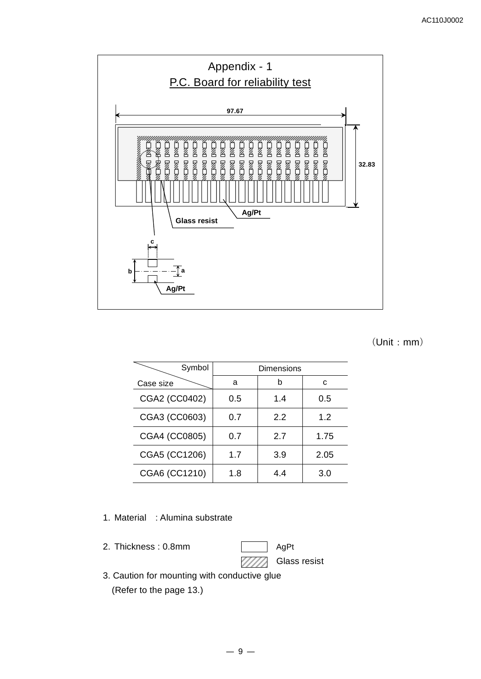

# (Unit:mm)

| Symbol        |     | Dimensions |      |
|---------------|-----|------------|------|
| Case size     | а   | b          | C    |
| CGA2 (CC0402) | 0.5 | 1.4        | 0.5  |
| CGA3 (CC0603) | 0.7 | 2.2        | 1.2  |
| CGA4 (CC0805) | 0.7 | 2.7        | 1.75 |
| CGA5 (CC1206) | 1.7 | 3.9        | 2.05 |
| CGA6 (CC1210) | 1.8 | 4.4        | 3.0  |

#### 1. Material : Alumina substrate

2. Thickness : 0.8mm AgPt

Glass resist

3. Caution for mounting with conductive glue (Refer to the page 13.)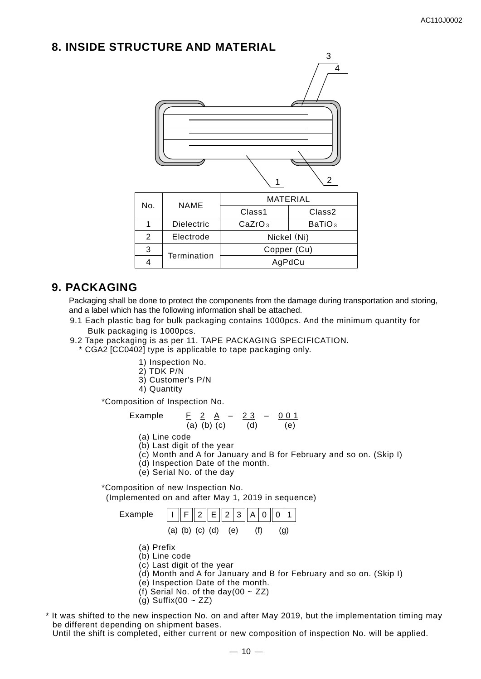# **8. INSIDE STRUCTURE AND MATERIAL**



|     | <b>NAME</b>       | MATERIAL           |                    |  |  |  |
|-----|-------------------|--------------------|--------------------|--|--|--|
| No. |                   | Class1             | Class <sub>2</sub> |  |  |  |
|     | <b>Dielectric</b> | CaZrO <sub>3</sub> | BaTiO <sub>3</sub> |  |  |  |
| 2   | Electrode         | Nickel (Ni)        |                    |  |  |  |
| 3   | Termination       | Copper (Cu)        |                    |  |  |  |
|     |                   | AgPdCu             |                    |  |  |  |

# **9. PACKAGING**

Packaging shall be done to protect the components from the damage during transportation and storing. and a label which has the following information shall be attached.

- 9.1 Each plastic bag for bulk packaging contains 1000pcs. And the minimum quantity for Bulk packaging is 1000pcs.
- 9.2 Tape packaging is as per 11. TAPE PACKAGING SPECIFICATION.
	- \* CGA2 [CC0402] type is applicable to tape packaging only.
		- 1) Inspection No.
		- 2) TDK P/N
		- 3) Customer's P/N
		- 4) Quantity

\*Composition of Inspection No.

Example 
$$
\frac{F}{(a) (b) (c)} = \frac{2 \cdot 3}{(d)} - \frac{0 \cdot 1}{(e)}
$$

- (a) Line code
- (b) Last digit of the year
- (c) Month and A for January and B for February and so on. (Skip I)
- (d) Inspection Date of the month.
- (e) Serial No. of the day

\*Composition of new Inspection No.

(Implemented on and after May 1, 2019 in sequence)





- (a) Prefix
- (b) Line code
- (c) Last digit of the year
- (d) Month and A for January and B for February and so on. (Skip I)
- (e) Inspection Date of the month.
- (f) Serial No. of the day(00  $\sim$  ZZ)
- (g) Suffix(00  $\sim$  ZZ)
- \* It was shifted to the new inspection No. on and after May 2019, but the implementation timing may be different depending on shipment bases.

Until the shift is completed, either current or new composition of inspection No. will be applied.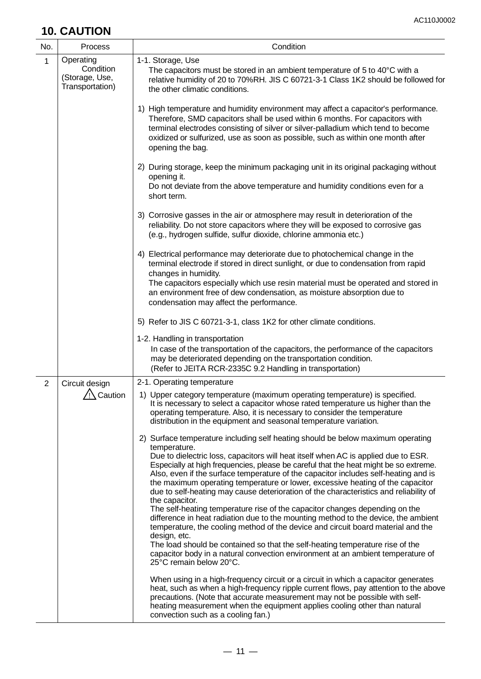# **10. CAUTION**

| <b>10. CAU HON</b> |                                                             |                                                                                                                                                                                                                                                                                                                                                                                                                                                                                                                                                                                                                                                                                                                                                                                                                                                                                                                                                                                                                                                                                                                                                                                                                                                                                                                                                                  |  |  |  |
|--------------------|-------------------------------------------------------------|------------------------------------------------------------------------------------------------------------------------------------------------------------------------------------------------------------------------------------------------------------------------------------------------------------------------------------------------------------------------------------------------------------------------------------------------------------------------------------------------------------------------------------------------------------------------------------------------------------------------------------------------------------------------------------------------------------------------------------------------------------------------------------------------------------------------------------------------------------------------------------------------------------------------------------------------------------------------------------------------------------------------------------------------------------------------------------------------------------------------------------------------------------------------------------------------------------------------------------------------------------------------------------------------------------------------------------------------------------------|--|--|--|
| No.                | Process                                                     | Condition                                                                                                                                                                                                                                                                                                                                                                                                                                                                                                                                                                                                                                                                                                                                                                                                                                                                                                                                                                                                                                                                                                                                                                                                                                                                                                                                                        |  |  |  |
| $\mathbf 1$        | Operating<br>Condition<br>(Storage, Use,<br>Transportation) | 1-1. Storage, Use<br>The capacitors must be stored in an ambient temperature of 5 to 40°C with a<br>relative humidity of 20 to 70%RH. JIS C 60721-3-1 Class 1K2 should be followed for<br>the other climatic conditions.                                                                                                                                                                                                                                                                                                                                                                                                                                                                                                                                                                                                                                                                                                                                                                                                                                                                                                                                                                                                                                                                                                                                         |  |  |  |
|                    |                                                             | 1) High temperature and humidity environment may affect a capacitor's performance.<br>Therefore, SMD capacitors shall be used within 6 months. For capacitors with<br>terminal electrodes consisting of silver or silver-palladium which tend to become<br>oxidized or sulfurized, use as soon as possible, such as within one month after<br>opening the bag.                                                                                                                                                                                                                                                                                                                                                                                                                                                                                                                                                                                                                                                                                                                                                                                                                                                                                                                                                                                                   |  |  |  |
|                    |                                                             | 2) During storage, keep the minimum packaging unit in its original packaging without<br>opening it.<br>Do not deviate from the above temperature and humidity conditions even for a<br>short term.                                                                                                                                                                                                                                                                                                                                                                                                                                                                                                                                                                                                                                                                                                                                                                                                                                                                                                                                                                                                                                                                                                                                                               |  |  |  |
|                    |                                                             | 3) Corrosive gasses in the air or atmosphere may result in deterioration of the<br>reliability. Do not store capacitors where they will be exposed to corrosive gas<br>(e.g., hydrogen sulfide, sulfur dioxide, chlorine ammonia etc.)                                                                                                                                                                                                                                                                                                                                                                                                                                                                                                                                                                                                                                                                                                                                                                                                                                                                                                                                                                                                                                                                                                                           |  |  |  |
|                    |                                                             | 4) Electrical performance may deteriorate due to photochemical change in the<br>terminal electrode if stored in direct sunlight, or due to condensation from rapid<br>changes in humidity.<br>The capacitors especially which use resin material must be operated and stored in<br>an environment free of dew condensation, as moisture absorption due to<br>condensation may affect the performance.                                                                                                                                                                                                                                                                                                                                                                                                                                                                                                                                                                                                                                                                                                                                                                                                                                                                                                                                                            |  |  |  |
|                    |                                                             | 5) Refer to JIS C 60721-3-1, class 1K2 for other climate conditions.                                                                                                                                                                                                                                                                                                                                                                                                                                                                                                                                                                                                                                                                                                                                                                                                                                                                                                                                                                                                                                                                                                                                                                                                                                                                                             |  |  |  |
|                    |                                                             | 1-2. Handling in transportation<br>In case of the transportation of the capacitors, the performance of the capacitors<br>may be deteriorated depending on the transportation condition.<br>(Refer to JEITA RCR-2335C 9.2 Handling in transportation)                                                                                                                                                                                                                                                                                                                                                                                                                                                                                                                                                                                                                                                                                                                                                                                                                                                                                                                                                                                                                                                                                                             |  |  |  |
| $\overline{2}$     | Circuit design<br>$\frac{1}{2}$ Caution                     | 2-1. Operating temperature<br>1) Upper category temperature (maximum operating temperature) is specified.<br>It is necessary to select a capacitor whose rated temperature us higher than the<br>operating temperature. Also, it is necessary to consider the temperature<br>distribution in the equipment and seasonal temperature variation.<br>2) Surface temperature including self heating should be below maximum operating<br>temperature.<br>Due to dielectric loss, capacitors will heat itself when AC is applied due to ESR.<br>Especially at high frequencies, please be careful that the heat might be so extreme.<br>Also, even if the surface temperature of the capacitor includes self-heating and is<br>the maximum operating temperature or lower, excessive heating of the capacitor<br>due to self-heating may cause deterioration of the characteristics and reliability of<br>the capacitor.<br>The self-heating temperature rise of the capacitor changes depending on the<br>difference in heat radiation due to the mounting method to the device, the ambient<br>temperature, the cooling method of the device and circuit board material and the<br>design, etc.<br>The load should be contained so that the self-heating temperature rise of the<br>capacitor body in a natural convection environment at an ambient temperature of |  |  |  |
|                    |                                                             | 25°C remain below 20°C.<br>When using in a high-frequency circuit or a circuit in which a capacitor generates<br>heat, such as when a high-frequency ripple current flows, pay attention to the above<br>precautions. (Note that accurate measurement may not be possible with self-<br>heating measurement when the equipment applies cooling other than natural<br>convection such as a cooling fan.)                                                                                                                                                                                                                                                                                                                                                                                                                                                                                                                                                                                                                                                                                                                                                                                                                                                                                                                                                          |  |  |  |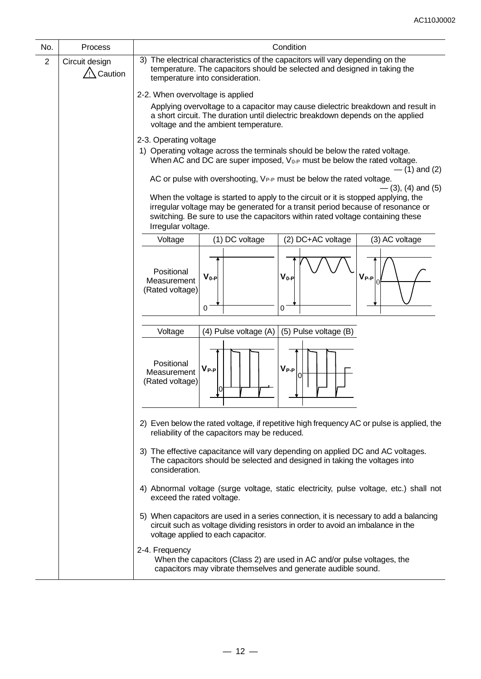| No.            | Process                              | Condition                                                                                                                                                                                                                                                                                             |  |  |  |  |  |
|----------------|--------------------------------------|-------------------------------------------------------------------------------------------------------------------------------------------------------------------------------------------------------------------------------------------------------------------------------------------------------|--|--|--|--|--|
| $\overline{2}$ | Circuit design<br>$\sqrt{N}$ Caution | 3) The electrical characteristics of the capacitors will vary depending on the<br>temperature. The capacitors should be selected and designed in taking the<br>temperature into consideration.                                                                                                        |  |  |  |  |  |
|                |                                      | 2-2. When overvoltage is applied                                                                                                                                                                                                                                                                      |  |  |  |  |  |
|                |                                      | Applying overvoltage to a capacitor may cause dielectric breakdown and result in<br>a short circuit. The duration until dielectric breakdown depends on the applied<br>voltage and the ambient temperature.                                                                                           |  |  |  |  |  |
|                |                                      | 2-3. Operating voltage                                                                                                                                                                                                                                                                                |  |  |  |  |  |
|                |                                      | 1) Operating voltage across the terminals should be below the rated voltage.<br>When AC and DC are super imposed, V <sub>0-P</sub> must be below the rated voltage.<br>$-$ (1) and (2)                                                                                                                |  |  |  |  |  |
|                |                                      | AC or pulse with overshooting, VP-P must be below the rated voltage.                                                                                                                                                                                                                                  |  |  |  |  |  |
|                |                                      | $-$ (3), (4) and (5)<br>When the voltage is started to apply to the circuit or it is stopped applying, the<br>irregular voltage may be generated for a transit period because of resonance or<br>switching. Be sure to use the capacitors within rated voltage containing these<br>Irregular voltage. |  |  |  |  |  |
|                |                                      | (1) DC voltage<br>(2) DC+AC voltage<br>(3) AC voltage<br>Voltage                                                                                                                                                                                                                                      |  |  |  |  |  |
|                |                                      | Positional<br>$V_{0-P}$<br>$V_{0-P}$<br>$V_{P-P}$<br>Measurement<br>(Rated voltage)<br>0<br>0                                                                                                                                                                                                         |  |  |  |  |  |
|                |                                      | (4) Pulse voltage (A)<br>(5) Pulse voltage (B)<br>Voltage                                                                                                                                                                                                                                             |  |  |  |  |  |
|                |                                      | Positional<br>$V_{P-P}$<br>$V_{P-P}$<br>Measurement<br>0<br>(Rated voltage)                                                                                                                                                                                                                           |  |  |  |  |  |
|                |                                      | 2) Even below the rated voltage, if repetitive high frequency AC or pulse is applied, the<br>reliability of the capacitors may be reduced.                                                                                                                                                            |  |  |  |  |  |
|                |                                      | 3) The effective capacitance will vary depending on applied DC and AC voltages.<br>The capacitors should be selected and designed in taking the voltages into<br>consideration.                                                                                                                       |  |  |  |  |  |
|                |                                      | 4) Abnormal voltage (surge voltage, static electricity, pulse voltage, etc.) shall not<br>exceed the rated voltage.                                                                                                                                                                                   |  |  |  |  |  |
|                |                                      | 5) When capacitors are used in a series connection, it is necessary to add a balancing<br>circuit such as voltage dividing resistors in order to avoid an imbalance in the<br>voltage applied to each capacitor.                                                                                      |  |  |  |  |  |
|                |                                      | 2-4. Frequency<br>When the capacitors (Class 2) are used in AC and/or pulse voltages, the<br>capacitors may vibrate themselves and generate audible sound.                                                                                                                                            |  |  |  |  |  |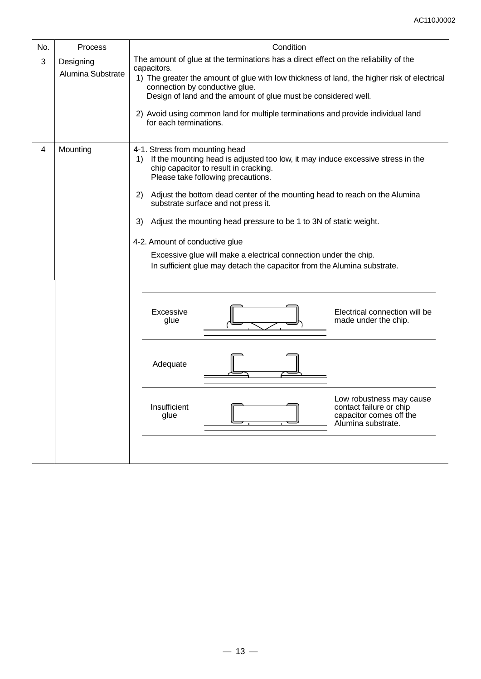| No.            | Process                                                                                                                                                                                                                                                                                                                                                                                                                                                | Condition                                                                                                                                                                                                                                                                                                                                                                                                                                                                                                                                                                                     |  |  |  |  |  |
|----------------|--------------------------------------------------------------------------------------------------------------------------------------------------------------------------------------------------------------------------------------------------------------------------------------------------------------------------------------------------------------------------------------------------------------------------------------------------------|-----------------------------------------------------------------------------------------------------------------------------------------------------------------------------------------------------------------------------------------------------------------------------------------------------------------------------------------------------------------------------------------------------------------------------------------------------------------------------------------------------------------------------------------------------------------------------------------------|--|--|--|--|--|
| 3              | The amount of glue at the terminations has a direct effect on the reliability of the<br>Designing<br>capacitors.<br>Alumina Substrate<br>1) The greater the amount of glue with low thickness of land, the higher risk of electrical<br>connection by conductive glue.<br>Design of land and the amount of glue must be considered well.<br>2) Avoid using common land for multiple terminations and provide individual land<br>for each terminations. |                                                                                                                                                                                                                                                                                                                                                                                                                                                                                                                                                                                               |  |  |  |  |  |
| $\overline{4}$ | Mounting                                                                                                                                                                                                                                                                                                                                                                                                                                               | 4-1. Stress from mounting head<br>If the mounting head is adjusted too low, it may induce excessive stress in the<br>1)<br>chip capacitor to result in cracking.<br>Please take following precautions.<br>2)<br>Adjust the bottom dead center of the mounting head to reach on the Alumina<br>substrate surface and not press it.<br>Adjust the mounting head pressure to be 1 to 3N of static weight.<br>3)<br>4-2. Amount of conductive glue<br>Excessive glue will make a electrical connection under the chip.<br>In sufficient glue may detach the capacitor from the Alumina substrate. |  |  |  |  |  |
|                |                                                                                                                                                                                                                                                                                                                                                                                                                                                        | Excessive<br>Electrical connection will be<br>glue<br>made under the chip.<br>Adequate                                                                                                                                                                                                                                                                                                                                                                                                                                                                                                        |  |  |  |  |  |
|                |                                                                                                                                                                                                                                                                                                                                                                                                                                                        | Low robustness may cause<br>Insufficient<br>contact failure or chip<br>capacitor comes off the<br>glue<br>Alumina substrate.                                                                                                                                                                                                                                                                                                                                                                                                                                                                  |  |  |  |  |  |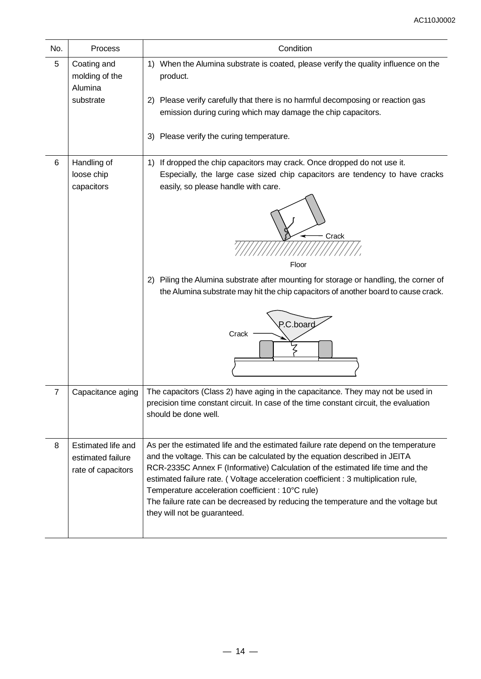| No.            | Process                                                       | Condition                                                                                                                                                                                                                                                                                                                                                                                                                                                                                                          |
|----------------|---------------------------------------------------------------|--------------------------------------------------------------------------------------------------------------------------------------------------------------------------------------------------------------------------------------------------------------------------------------------------------------------------------------------------------------------------------------------------------------------------------------------------------------------------------------------------------------------|
| 5              | Coating and<br>molding of the<br>Alumina                      | 1) When the Alumina substrate is coated, please verify the quality influence on the<br>product.                                                                                                                                                                                                                                                                                                                                                                                                                    |
|                | substrate                                                     | 2) Please verify carefully that there is no harmful decomposing or reaction gas<br>emission during curing which may damage the chip capacitors.                                                                                                                                                                                                                                                                                                                                                                    |
|                |                                                               | 3) Please verify the curing temperature.                                                                                                                                                                                                                                                                                                                                                                                                                                                                           |
| 6              | Handling of<br>loose chip<br>capacitors                       | 1) If dropped the chip capacitors may crack. Once dropped do not use it.<br>Especially, the large case sized chip capacitors are tendency to have cracks<br>easily, so please handle with care.<br>Crack<br>Floor<br>2) Piling the Alumina substrate after mounting for storage or handling, the corner of<br>the Alumina substrate may hit the chip capacitors of another board to cause crack.<br>P.C.board<br>Crack                                                                                             |
| $\overline{7}$ | Capacitance aging                                             | The capacitors (Class 2) have aging in the capacitance. They may not be used in<br>precision time constant circuit. In case of the time constant circuit, the evaluation<br>should be done well.                                                                                                                                                                                                                                                                                                                   |
| 8              | Estimated life and<br>estimated failure<br>rate of capacitors | As per the estimated life and the estimated failure rate depend on the temperature<br>and the voltage. This can be calculated by the equation described in JEITA<br>RCR-2335C Annex F (Informative) Calculation of the estimated life time and the<br>estimated failure rate. (Voltage acceleration coefficient : 3 multiplication rule,<br>Temperature acceleration coefficient : 10°C rule)<br>The failure rate can be decreased by reducing the temperature and the voltage but<br>they will not be guaranteed. |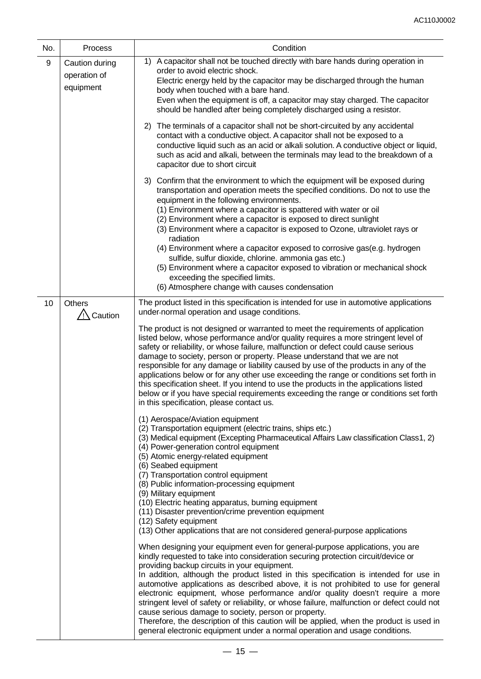| No. | Condition<br>Process                        |                                                                                                                                                                                                                                                                                                                                                                                                                                                                                                                                                                                                                                                                                                                                                                                                                                                                                                                                                                                                                                                              |  |  |  |  |
|-----|---------------------------------------------|--------------------------------------------------------------------------------------------------------------------------------------------------------------------------------------------------------------------------------------------------------------------------------------------------------------------------------------------------------------------------------------------------------------------------------------------------------------------------------------------------------------------------------------------------------------------------------------------------------------------------------------------------------------------------------------------------------------------------------------------------------------------------------------------------------------------------------------------------------------------------------------------------------------------------------------------------------------------------------------------------------------------------------------------------------------|--|--|--|--|
| 9   | Caution during<br>operation of<br>equipment | A capacitor shall not be touched directly with bare hands during operation in<br>1)<br>order to avoid electric shock.<br>Electric energy held by the capacitor may be discharged through the human<br>body when touched with a bare hand.<br>Even when the equipment is off, a capacitor may stay charged. The capacitor<br>should be handled after being completely discharged using a resistor.                                                                                                                                                                                                                                                                                                                                                                                                                                                                                                                                                                                                                                                            |  |  |  |  |
|     |                                             | The terminals of a capacitor shall not be short-circuited by any accidental<br>2)<br>contact with a conductive object. A capacitor shall not be exposed to a<br>conductive liquid such as an acid or alkali solution. A conductive object or liquid,<br>such as acid and alkali, between the terminals may lead to the breakdown of a<br>capacitor due to short circuit                                                                                                                                                                                                                                                                                                                                                                                                                                                                                                                                                                                                                                                                                      |  |  |  |  |
|     |                                             | 3) Confirm that the environment to which the equipment will be exposed during<br>transportation and operation meets the specified conditions. Do not to use the<br>equipment in the following environments.<br>(1) Environment where a capacitor is spattered with water or oil<br>(2) Environment where a capacitor is exposed to direct sunlight<br>(3) Environment where a capacitor is exposed to Ozone, ultraviolet rays or<br>radiation<br>(4) Environment where a capacitor exposed to corrosive gas (e.g. hydrogen<br>sulfide, sulfur dioxide, chlorine. ammonia gas etc.)<br>(5) Environment where a capacitor exposed to vibration or mechanical shock<br>exceeding the specified limits.<br>(6) Atmosphere change with causes condensation                                                                                                                                                                                                                                                                                                        |  |  |  |  |
| 10  | Others<br>$\frac{1}{2}$ Caution             | The product listed in this specification is intended for use in automotive applications<br>under-normal operation and usage conditions.                                                                                                                                                                                                                                                                                                                                                                                                                                                                                                                                                                                                                                                                                                                                                                                                                                                                                                                      |  |  |  |  |
|     |                                             | The product is not designed or warranted to meet the requirements of application<br>listed below, whose performance and/or quality requires a more stringent level of<br>safety or reliability, or whose failure, malfunction or defect could cause serious<br>damage to society, person or property. Please understand that we are not<br>responsible for any damage or liability caused by use of the products in any of the<br>applications below or for any other use exceeding the range or conditions set forth in<br>this specification sheet. If you intend to use the products in the applications listed<br>below or if you have special requirements exceeding the range or conditions set forth<br>in this specification, please contact us.<br>(1) Aerospace/Aviation equipment<br>(2) Transportation equipment (electric trains, ships etc.)<br>(3) Medical equipment (Excepting Pharmaceutical Affairs Law classification Class1, 2)<br>(4) Power-generation control equipment<br>(5) Atomic energy-related equipment<br>(6) Seabed equipment |  |  |  |  |
|     |                                             | (7) Transportation control equipment<br>(8) Public information-processing equipment<br>(9) Military equipment<br>(10) Electric heating apparatus, burning equipment<br>(11) Disaster prevention/crime prevention equipment<br>(12) Safety equipment<br>(13) Other applications that are not considered general-purpose applications                                                                                                                                                                                                                                                                                                                                                                                                                                                                                                                                                                                                                                                                                                                          |  |  |  |  |
|     |                                             | When designing your equipment even for general-purpose applications, you are<br>kindly requested to take into consideration securing protection circuit/device or<br>providing backup circuits in your equipment.<br>In addition, although the product listed in this specification is intended for use in<br>automotive applications as described above, it is not prohibited to use for general<br>electronic equipment, whose performance and/or quality doesn't require a more<br>stringent level of safety or reliability, or whose failure, malfunction or defect could not<br>cause serious damage to society, person or property.<br>Therefore, the description of this caution will be applied, when the product is used in<br>general electronic equipment under a normal operation and usage conditions.                                                                                                                                                                                                                                          |  |  |  |  |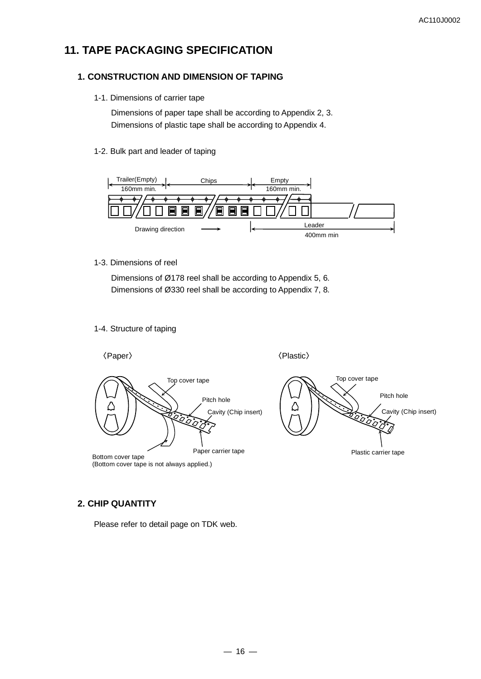# **11. TAPE PACKAGING SPECIFICATION**

#### **1. CONSTRUCTION AND DIMENSION OF TAPING**

1-1. Dimensions of carrier tape

Dimensions of paper tape shall be according to Appendix 2, 3. Dimensions of plastic tape shall be according to Appendix 4.

#### 1-2. Bulk part and leader of taping



#### 1-3. Dimensions of reel

Dimensions of Ø178 reel shall be according to Appendix 5, 6. Dimensions of Ø330 reel shall be according to Appendix 7, 8.

#### 1-4. Structure of taping



### **2. CHIP QUANTITY**

Please refer to detail page on TDK web.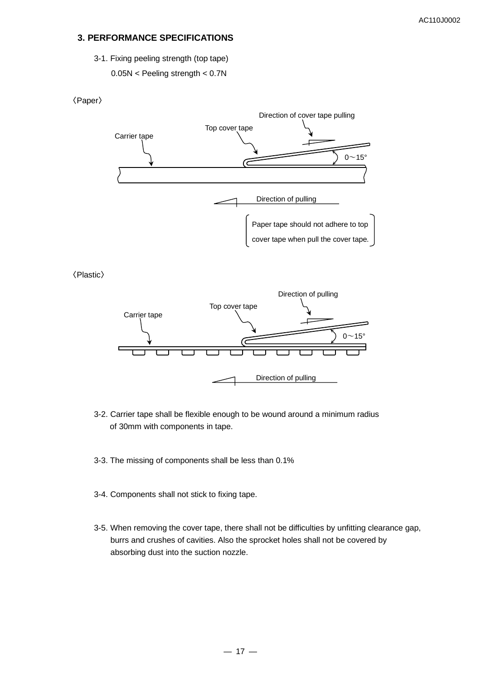#### **3. PERFORMANCE SPECIFICATIONS**

3-1. Fixing peeling strength (top tape)

0.05N < Peeling strength < 0.7N

#### 〈Paper〉



〈Plastic〉



- 3-2. Carrier tape shall be flexible enough to be wound around a minimum radius of 30mm with components in tape.
- 3-3. The missing of components shall be less than 0.1%
- 3-4. Components shall not stick to fixing tape.
- 3-5. When removing the cover tape, there shall not be difficulties by unfitting clearance gap, burrs and crushes of cavities. Also the sprocket holes shall not be covered by absorbing dust into the suction nozzle.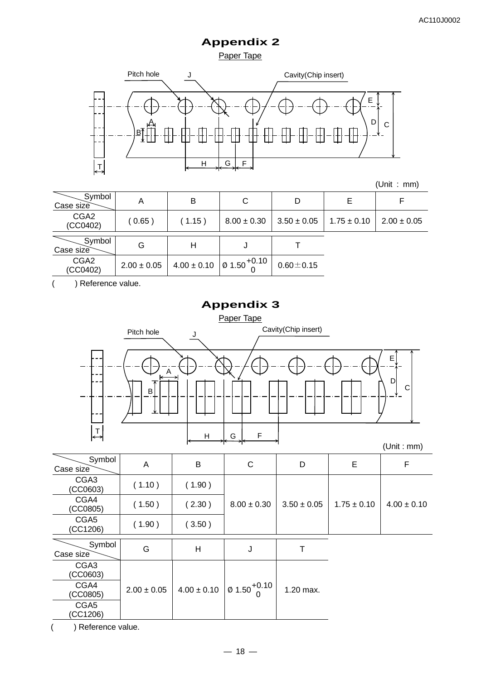Paper Tape



| (Unit : |  | mm) |
|---------|--|-----|
|---------|--|-----|

| Symbol<br>Case size          | Α               | в               | С                                       | D               | Е               |                 |
|------------------------------|-----------------|-----------------|-----------------------------------------|-----------------|-----------------|-----------------|
| CGA <sub>2</sub><br>(CC0402) | (0.65)          | (1.15)          | $8.00 \pm 0.30$                         | $3.50 \pm 0.05$ | $1.75 \pm 0.10$ | $2.00 \pm 0.05$ |
| Symbol<br>Case size          | G               | н               | J                                       |                 |                 |                 |
| CGA <sub>2</sub><br>(CC0402) | $2.00 \pm 0.05$ | $4.00 \pm 0.10$ | $\degree$   Ø 1.50 <sup>+0.10</sup>   . | $0.60 + 0.15$   |                 |                 |

( ) Reference value.

# **Appendix 3**



| Symbol<br>Case size          | Α               | B               | $\mathsf{C}$                           | D               | E               | F               |
|------------------------------|-----------------|-----------------|----------------------------------------|-----------------|-----------------|-----------------|
| CGA <sub>3</sub><br>(CCO603) | (1.10)          | (1.90)          |                                        |                 |                 |                 |
| CGA4<br>(CC0805)             | (1.50)          | (2.30)          | $8.00 \pm 0.30$                        | $3.50 \pm 0.05$ | $1.75 \pm 0.10$ | $4.00 \pm 0.10$ |
| CGA5<br>(CC1206)             | (1.90)          | (3.50)          |                                        |                 |                 |                 |
| Symbol<br>Case size          | G               | Η               | J                                      |                 |                 |                 |
| CGA <sub>3</sub><br>(CC0603) |                 |                 |                                        |                 |                 |                 |
| CGA4<br>(CC0805)             | $2.00 \pm 0.05$ | $4.00 \pm 0.10$ | $\frac{1}{2}$ 0 1.50 $\frac{+0.10}{2}$ | 1.20 max.       |                 |                 |
| CGA5<br>(CC1206)             |                 |                 |                                        |                 |                 |                 |

( ) Reference value.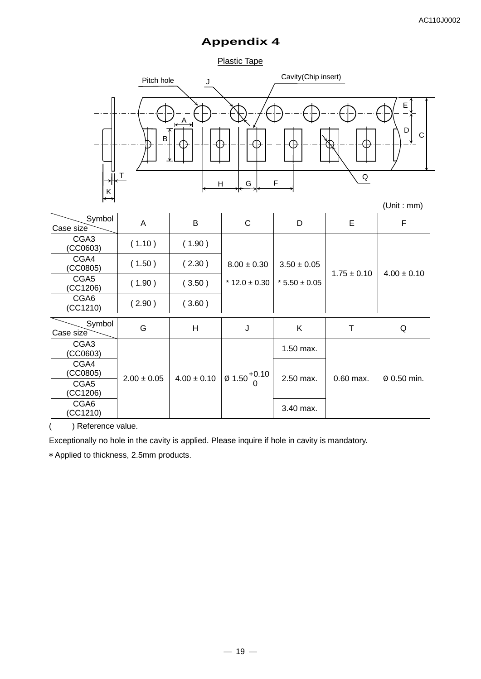Plastic Tape



| Symbol<br>Case size          | A               | B               | C                                   | D                   | E               | F               |
|------------------------------|-----------------|-----------------|-------------------------------------|---------------------|-----------------|-----------------|
| CGA <sub>3</sub><br>(CC0603) | (1.10)          | (1.90)          |                                     |                     |                 |                 |
| CGA4<br>(CC0805)             | (1.50)          | (2.30)          | $8.00 \pm 0.30$                     | $3.50 \pm 0.05$     | $1.75 \pm 0.10$ | $4.00 \pm 0.10$ |
| CGA5<br>(CC1206)             | (1.90)          | (3.50)          | $*$ 12.0 $\pm$ 0.30                 | $*$ 5.50 $\pm$ 0.05 |                 |                 |
| CGA <sub>6</sub><br>(CC1210) | (2.90)          | (3.60)          |                                     |                     |                 |                 |
| Symbol<br>Case size          | G               | H               | J                                   | Κ                   | т               | Q               |
| CGA <sub>3</sub><br>(CC0603) |                 |                 |                                     | 1.50 max.           |                 |                 |
| CGA4<br>(CC0805)             | $2.00 \pm 0.05$ | $4.00 \pm 0.10$ | $\varnothing$ 1.50 <sup>+0.10</sup> |                     |                 |                 |
| CGA5<br>(CC1206)             |                 |                 |                                     | 2.50 max.           | $0.60$ max.     | Ø 0.50 min.     |
| CGA <sub>6</sub><br>(CC1210) |                 |                 |                                     | 3.40 max.           |                 |                 |

( ) Reference value.

Exceptionally no hole in the cavity is applied. Please inquire if hole in cavity is mandatory.

\* Applied to thickness, 2.5mm products.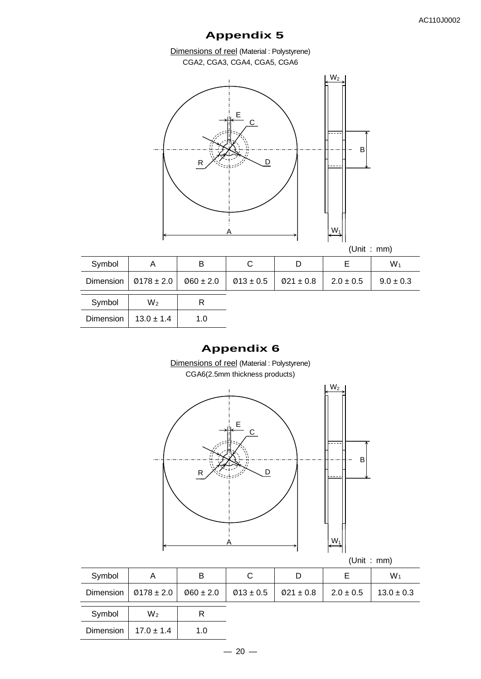Dimensions of reel (Material : Polystyrene) CGA2, CGA3, CGA4, CGA5, CGA6



# **Appendix 6**

Dimensions of reel (Material : Polystyrene) CGA6(2.5mm thickness products)



| (Unit | $\sim$ | mm) |
|-------|--------|-----|
|-------|--------|-----|

| $Ø178 \pm 2.0$<br>$Ø13 \pm 0.5$<br>Dimension<br>$\emptyset$ 60 ± 2.0<br>$\emptyset$ 21 ± 0.8<br>$2.0 \pm 0.5$<br>Symbol<br>$W_2$<br>R<br>Dimension<br>$17.0 \pm 1.4$<br>1.0 | Symbol | Α | в | С | D | Е | $W_1$          |
|-----------------------------------------------------------------------------------------------------------------------------------------------------------------------------|--------|---|---|---|---|---|----------------|
|                                                                                                                                                                             |        |   |   |   |   |   | $13.0 \pm 0.3$ |
|                                                                                                                                                                             |        |   |   |   |   |   |                |
|                                                                                                                                                                             |        |   |   |   |   |   |                |